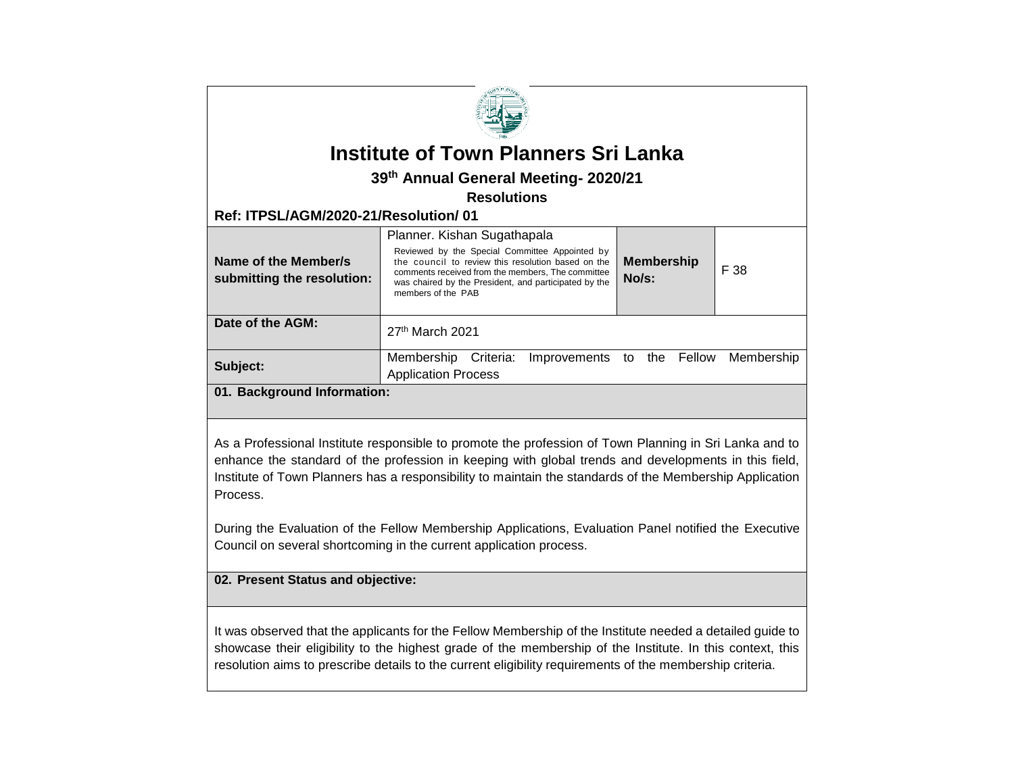|                                                                                                                                                                                                                                                                                                                                                                                                                                                                                                                     | <b>Institute of Town Planners Sri Lanka</b>                                                                                                                                                                                                                             |                                       |      |
|---------------------------------------------------------------------------------------------------------------------------------------------------------------------------------------------------------------------------------------------------------------------------------------------------------------------------------------------------------------------------------------------------------------------------------------------------------------------------------------------------------------------|-------------------------------------------------------------------------------------------------------------------------------------------------------------------------------------------------------------------------------------------------------------------------|---------------------------------------|------|
|                                                                                                                                                                                                                                                                                                                                                                                                                                                                                                                     | 39th Annual General Meeting- 2020/21                                                                                                                                                                                                                                    |                                       |      |
|                                                                                                                                                                                                                                                                                                                                                                                                                                                                                                                     | <b>Resolutions</b>                                                                                                                                                                                                                                                      |                                       |      |
| Ref: ITPSL/AGM/2020-21/Resolution/01                                                                                                                                                                                                                                                                                                                                                                                                                                                                                |                                                                                                                                                                                                                                                                         |                                       |      |
| Name of the Member/s<br>submitting the resolution:                                                                                                                                                                                                                                                                                                                                                                                                                                                                  | Planner. Kishan Sugathapala<br>Reviewed by the Special Committee Appointed by<br>the council to review this resolution based on the<br>comments received from the members. The committee<br>was chaired by the President, and participated by the<br>members of the PAB | <b>Membership</b><br>No/s:            | F 38 |
| Date of the AGM:                                                                                                                                                                                                                                                                                                                                                                                                                                                                                                    | 27th March 2021                                                                                                                                                                                                                                                         |                                       |      |
| Subject:                                                                                                                                                                                                                                                                                                                                                                                                                                                                                                            | Membership Criteria:<br><b>Application Process</b>                                                                                                                                                                                                                      | Improvements to the Fellow Membership |      |
| 01. Background Information:                                                                                                                                                                                                                                                                                                                                                                                                                                                                                         |                                                                                                                                                                                                                                                                         |                                       |      |
| As a Professional Institute responsible to promote the profession of Town Planning in Sri Lanka and to<br>enhance the standard of the profession in keeping with global trends and developments in this field,<br>Institute of Town Planners has a responsibility to maintain the standards of the Membership Application<br>Process.<br>During the Evaluation of the Fellow Membership Applications, Evaluation Panel notified the Executive<br>Council on several shortcoming in the current application process. |                                                                                                                                                                                                                                                                         |                                       |      |
| 02. Present Status and objective:                                                                                                                                                                                                                                                                                                                                                                                                                                                                                   |                                                                                                                                                                                                                                                                         |                                       |      |
| It was observed that the applicants for the Fellow Membership of the Institute needed a detailed guide to<br>showcase their eligibility to the highest grade of the membership of the Institute. In this context, this<br>resolution aims to prescribe details to the current eligibility requirements of the membership criteria.                                                                                                                                                                                  |                                                                                                                                                                                                                                                                         |                                       |      |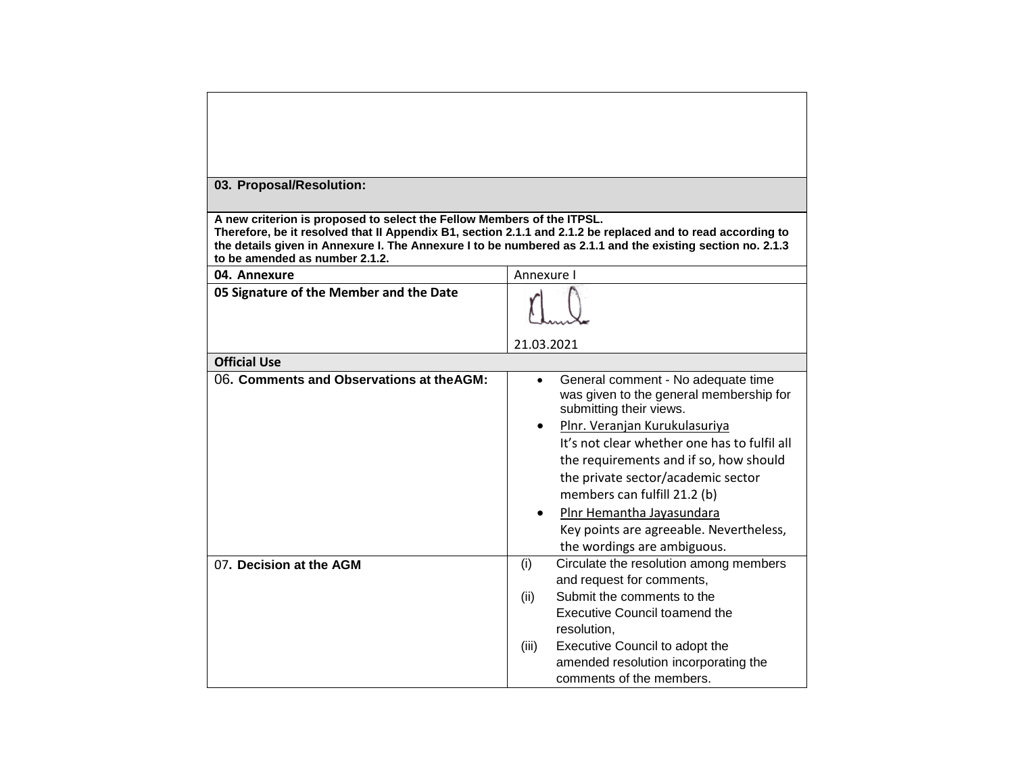| 03. Proposal/Resolution:                                                                                                                                                                                                                                                                                                              |                                                                                                                       |  |  |  |  |
|---------------------------------------------------------------------------------------------------------------------------------------------------------------------------------------------------------------------------------------------------------------------------------------------------------------------------------------|-----------------------------------------------------------------------------------------------------------------------|--|--|--|--|
| A new criterion is proposed to select the Fellow Members of the ITPSL.<br>Therefore, be it resolved that II Appendix B1, section 2.1.1 and 2.1.2 be replaced and to read according to<br>the details given in Annexure I. The Annexure I to be numbered as 2.1.1 and the existing section no. 2.1.3<br>to be amended as number 2.1.2. |                                                                                                                       |  |  |  |  |
| 04. Annexure                                                                                                                                                                                                                                                                                                                          | Annexure I                                                                                                            |  |  |  |  |
| 05 Signature of the Member and the Date                                                                                                                                                                                                                                                                                               |                                                                                                                       |  |  |  |  |
|                                                                                                                                                                                                                                                                                                                                       |                                                                                                                       |  |  |  |  |
|                                                                                                                                                                                                                                                                                                                                       |                                                                                                                       |  |  |  |  |
|                                                                                                                                                                                                                                                                                                                                       | 21.03.2021                                                                                                            |  |  |  |  |
| <b>Official Use</b>                                                                                                                                                                                                                                                                                                                   |                                                                                                                       |  |  |  |  |
| 06. Comments and Observations at the AGM:                                                                                                                                                                                                                                                                                             | General comment - No adequate time<br>$\bullet$<br>was given to the general membership for<br>submitting their views. |  |  |  |  |
|                                                                                                                                                                                                                                                                                                                                       | Plnr. Veranjan Kurukulasuriya                                                                                         |  |  |  |  |
|                                                                                                                                                                                                                                                                                                                                       | It's not clear whether one has to fulfil all                                                                          |  |  |  |  |
|                                                                                                                                                                                                                                                                                                                                       | the requirements and if so, how should                                                                                |  |  |  |  |
|                                                                                                                                                                                                                                                                                                                                       | the private sector/academic sector                                                                                    |  |  |  |  |
|                                                                                                                                                                                                                                                                                                                                       | members can fulfill 21.2 (b)                                                                                          |  |  |  |  |
|                                                                                                                                                                                                                                                                                                                                       | Plnr Hemantha Jayasundara                                                                                             |  |  |  |  |
|                                                                                                                                                                                                                                                                                                                                       | Key points are agreeable. Nevertheless,                                                                               |  |  |  |  |
|                                                                                                                                                                                                                                                                                                                                       | the wordings are ambiguous.                                                                                           |  |  |  |  |
| 07. Decision at the AGM                                                                                                                                                                                                                                                                                                               | Circulate the resolution among members<br>(i)                                                                         |  |  |  |  |
|                                                                                                                                                                                                                                                                                                                                       | and request for comments,                                                                                             |  |  |  |  |
|                                                                                                                                                                                                                                                                                                                                       | Submit the comments to the<br>(ii)                                                                                    |  |  |  |  |
|                                                                                                                                                                                                                                                                                                                                       | <b>Executive Council toamend the</b>                                                                                  |  |  |  |  |
|                                                                                                                                                                                                                                                                                                                                       | resolution.                                                                                                           |  |  |  |  |
|                                                                                                                                                                                                                                                                                                                                       | Executive Council to adopt the<br>(iii)                                                                               |  |  |  |  |
|                                                                                                                                                                                                                                                                                                                                       | amended resolution incorporating the                                                                                  |  |  |  |  |
|                                                                                                                                                                                                                                                                                                                                       | comments of the members.                                                                                              |  |  |  |  |

┑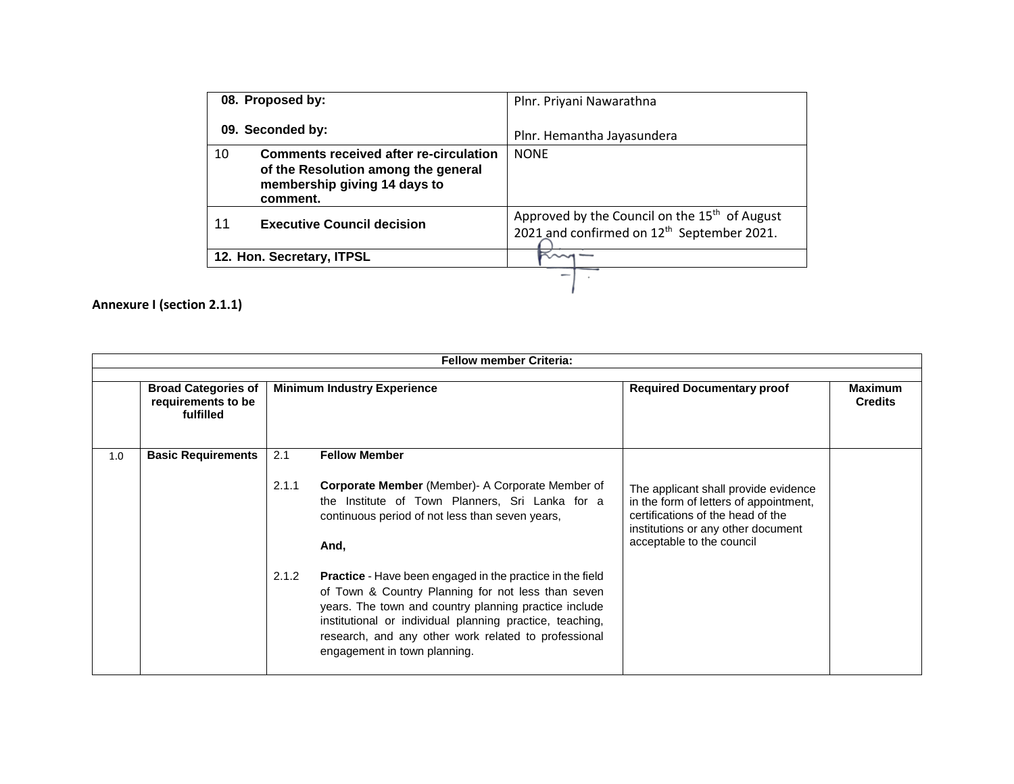| 08. Proposed by:          |                                                                                                                                  | Plnr. Priyani Nawarathna                                                                                            |
|---------------------------|----------------------------------------------------------------------------------------------------------------------------------|---------------------------------------------------------------------------------------------------------------------|
| 09. Seconded by:          |                                                                                                                                  | Plnr. Hemantha Jayasundera                                                                                          |
| 10                        | <b>Comments received after re-circulation</b><br>of the Resolution among the general<br>membership giving 14 days to<br>comment. | <b>NONE</b>                                                                                                         |
| 11                        | <b>Executive Council decision</b>                                                                                                | Approved by the Council on the 15 <sup>th</sup> of August<br>2021 and confirmed on 12 <sup>th</sup> September 2021. |
| 12. Hon. Secretary, ITPSL |                                                                                                                                  |                                                                                                                     |
|                           |                                                                                                                                  |                                                                                                                     |

**Annexure I (section 2.1.1)**

|     | <b>Fellow member Criteria:</b>                                |                                    |                                                                                                                                                                                                                                                                                                                                     |                                                                                                                                                                                        |                                  |
|-----|---------------------------------------------------------------|------------------------------------|-------------------------------------------------------------------------------------------------------------------------------------------------------------------------------------------------------------------------------------------------------------------------------------------------------------------------------------|----------------------------------------------------------------------------------------------------------------------------------------------------------------------------------------|----------------------------------|
|     | <b>Broad Categories of</b><br>requirements to be<br>fulfilled | <b>Minimum Industry Experience</b> |                                                                                                                                                                                                                                                                                                                                     | <b>Required Documentary proof</b>                                                                                                                                                      | <b>Maximum</b><br><b>Credits</b> |
| 1.0 | <b>Basic Requirements</b>                                     | 2.1                                | <b>Fellow Member</b>                                                                                                                                                                                                                                                                                                                |                                                                                                                                                                                        |                                  |
|     |                                                               | 2.1.1                              | <b>Corporate Member</b> (Member) A Corporate Member of<br>the Institute of Town Planners, Sri Lanka for a<br>continuous period of not less than seven years,<br>And.                                                                                                                                                                | The applicant shall provide evidence<br>in the form of letters of appointment,<br>certifications of the head of the<br>institutions or any other document<br>acceptable to the council |                                  |
|     |                                                               | 2.1.2                              | <b>Practice</b> - Have been engaged in the practice in the field<br>of Town & Country Planning for not less than seven<br>years. The town and country planning practice include<br>institutional or individual planning practice, teaching,<br>research, and any other work related to professional<br>engagement in town planning. |                                                                                                                                                                                        |                                  |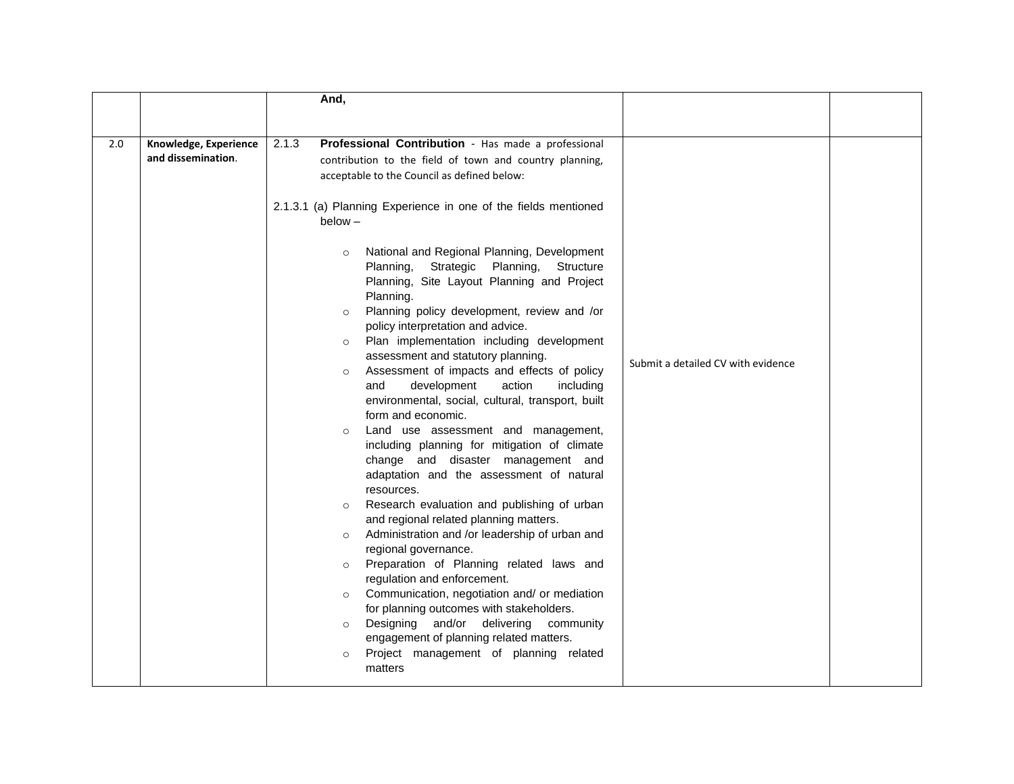|     |                                             | And,                                                                                                                                                                                                                                                                                                                                                                                                                                                                                                                                                                                                                                                                                                                                                                                                                                                                                                                                                                                                                                                                                                                                                                                                                                                                                                                                                                                                                                                                                                                                                              |                                    |
|-----|---------------------------------------------|-------------------------------------------------------------------------------------------------------------------------------------------------------------------------------------------------------------------------------------------------------------------------------------------------------------------------------------------------------------------------------------------------------------------------------------------------------------------------------------------------------------------------------------------------------------------------------------------------------------------------------------------------------------------------------------------------------------------------------------------------------------------------------------------------------------------------------------------------------------------------------------------------------------------------------------------------------------------------------------------------------------------------------------------------------------------------------------------------------------------------------------------------------------------------------------------------------------------------------------------------------------------------------------------------------------------------------------------------------------------------------------------------------------------------------------------------------------------------------------------------------------------------------------------------------------------|------------------------------------|
| 2.0 | Knowledge, Experience<br>and dissemination. | 2.1.3<br>Professional Contribution - Has made a professional<br>contribution to the field of town and country planning,<br>acceptable to the Council as defined below:<br>2.1.3.1 (a) Planning Experience in one of the fields mentioned<br>$below -$<br>National and Regional Planning, Development<br>$\circ$<br>Strategic Planning,<br>Planning,<br>Structure<br>Planning, Site Layout Planning and Project<br>Planning.<br>Planning policy development, review and /or<br>$\circ$<br>policy interpretation and advice.<br>Plan implementation including development<br>$\circ$<br>assessment and statutory planning.<br>Assessment of impacts and effects of policy<br>$\circ$<br>action<br>development<br>including<br>and<br>environmental, social, cultural, transport, built<br>form and economic.<br>Land use assessment and management,<br>$\circ$<br>including planning for mitigation of climate<br>change and disaster management and<br>adaptation and the assessment of natural<br>resources.<br>Research evaluation and publishing of urban<br>$\circ$<br>and regional related planning matters.<br>Administration and /or leadership of urban and<br>$\circ$<br>regional governance.<br>Preparation of Planning related laws and<br>$\circ$<br>regulation and enforcement.<br>Communication, negotiation and/ or mediation<br>$\circ$<br>for planning outcomes with stakeholders.<br>Designing and/or delivering community<br>$\circ$<br>engagement of planning related matters.<br>Project management of planning related<br>$\circ$<br>matters | Submit a detailed CV with evidence |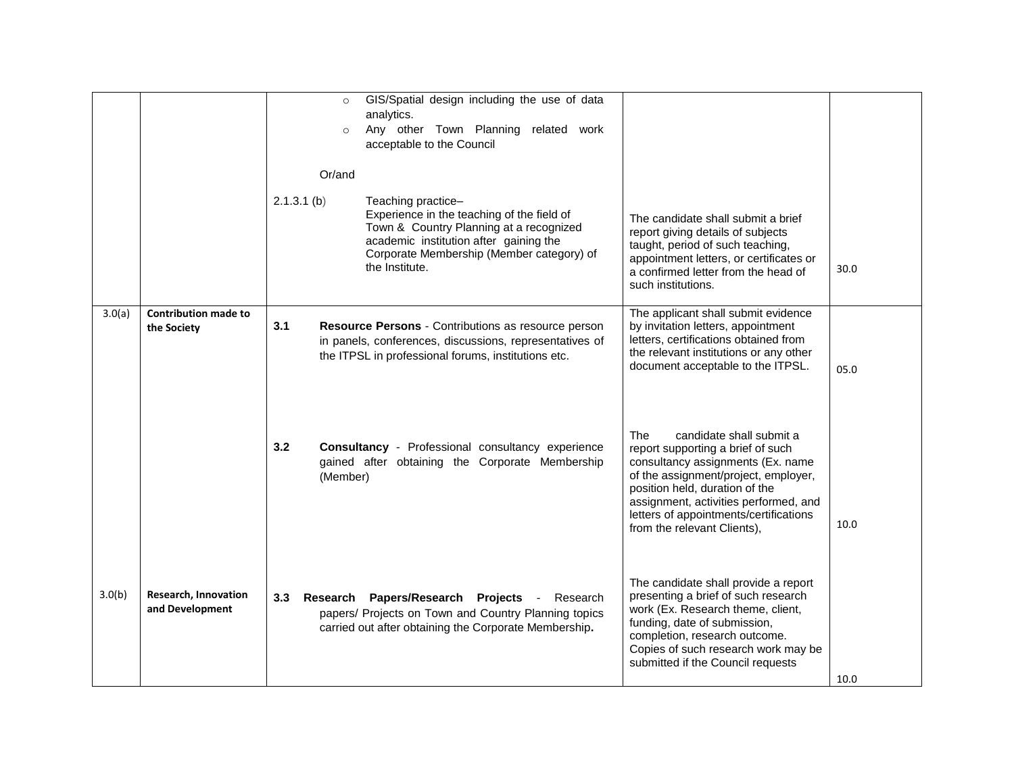|        |                                            | GIS/Spatial design including the use of data<br>$\circ$<br>analytics.<br>Any other Town Planning related work<br>$\circ$<br>acceptable to the Council<br>Or/and<br>$2.1.3.1$ (b)<br>Teaching practice-<br>Experience in the teaching of the field of<br>The candidate shall submit a brief<br>Town & Country Planning at a recognized<br>report giving details of subjects<br>academic institution after gaining the<br>taught, period of such teaching,<br>Corporate Membership (Member category) of<br>appointment letters, or certificates or<br>the Institute.<br>a confirmed letter from the head of<br>such institutions. | 30.0 |
|--------|--------------------------------------------|---------------------------------------------------------------------------------------------------------------------------------------------------------------------------------------------------------------------------------------------------------------------------------------------------------------------------------------------------------------------------------------------------------------------------------------------------------------------------------------------------------------------------------------------------------------------------------------------------------------------------------|------|
| 3.0(a) | <b>Contribution made to</b><br>the Society | The applicant shall submit evidence<br>3.1<br>Resource Persons - Contributions as resource person<br>by invitation letters, appointment<br>letters, certifications obtained from<br>in panels, conferences, discussions, representatives of<br>the relevant institutions or any other<br>the ITPSL in professional forums, institutions etc.<br>document acceptable to the ITPSL.                                                                                                                                                                                                                                               | 05.0 |
|        |                                            | The<br>candidate shall submit a<br>3.2<br><b>Consultancy</b> - Professional consultancy experience<br>report supporting a brief of such<br>gained after obtaining the Corporate Membership<br>consultancy assignments (Ex. name<br>of the assignment/project, employer,<br>(Member)<br>position held, duration of the<br>assignment, activities performed, and<br>letters of appointments/certifications<br>from the relevant Clients),                                                                                                                                                                                         | 10.0 |
| 3.0(b) | Research, Innovation<br>and Development    | The candidate shall provide a report<br>presenting a brief of such research<br>Research Papers/Research Projects<br>3.3<br>- Research<br>work (Ex. Research theme, client,<br>papers/ Projects on Town and Country Planning topics<br>funding, date of submission,<br>carried out after obtaining the Corporate Membership.<br>completion, research outcome.<br>Copies of such research work may be<br>submitted if the Council requests                                                                                                                                                                                        | 10.0 |